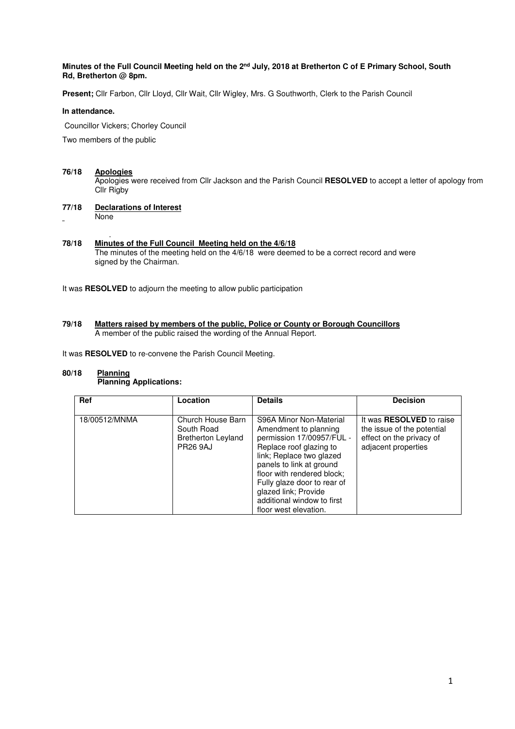## **Minutes of the Full Council Meeting held on the 2nd July, 2018 at Bretherton C of E Primary School, South Rd, Bretherton @ 8pm.**

Present; Cllr Farbon, Cllr Lloyd, Cllr Wait, Cllr Wigley, Mrs. G Southworth, Clerk to the Parish Council

#### **In attendance.**

Councillor Vickers; Chorley Council

Two members of the public

## **76/18 Apologies**

 Apologies were received from Cllr Jackson and the Parish Council **RESOLVED** to accept a letter of apology from Cllr Rigby

#### **77/18 Declarations of Interest** None

#### . **78/18 Minutes of the Full Council Meeting held on the 4/6/18**  The minutes of the meeting held on the 4/6/18 were deemed to be a correct record and were signed by the Chairman.

It was **RESOLVED** to adjourn the meeting to allow public participation

#### **79/18 Matters raised by members of the public, Police or County or Borough Councillors**  A member of the public raised the wording of the Annual Report.

It was **RESOLVED** to re-convene the Parish Council Meeting.

#### **80/18 Planning Planning Applications:**

| <b>Ref</b>    | Location                                                                        | <b>Details</b>                                                                                                                                                                                                                                                                                               | <b>Decision</b>                                                                                                  |
|---------------|---------------------------------------------------------------------------------|--------------------------------------------------------------------------------------------------------------------------------------------------------------------------------------------------------------------------------------------------------------------------------------------------------------|------------------------------------------------------------------------------------------------------------------|
| 18/00512/MNMA | Church House Barn<br>South Road<br><b>Bretherton Leyland</b><br><b>PR26 9AJ</b> | S96A Minor Non-Material<br>Amendment to planning<br>permission 17/00957/FUL -<br>Replace roof glazing to<br>link; Replace two glazed<br>panels to link at ground<br>floor with rendered block;<br>Fully glaze door to rear of<br>glazed link; Provide<br>additional window to first<br>floor west elevation. | It was <b>RESOLVED</b> to raise<br>the issue of the potential<br>effect on the privacy of<br>adjacent properties |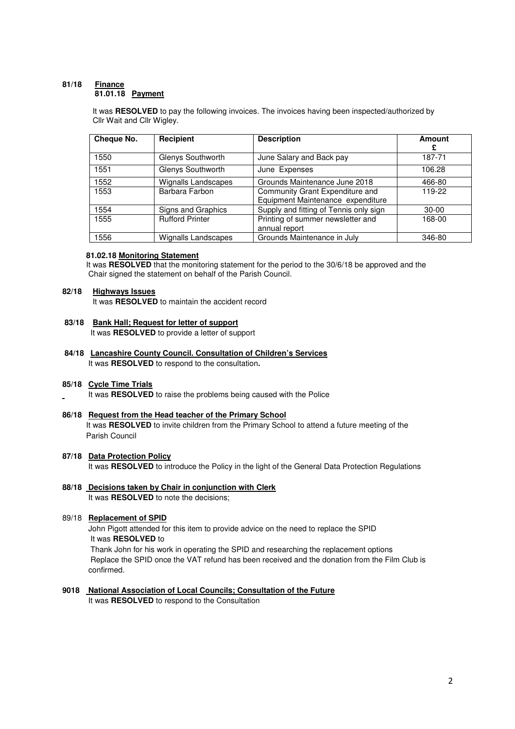#### **81/18 Finance 81.01.18 Payment**

It was **RESOLVED** to pay the following invoices. The invoices having been inspected/authorized by Cllr Wait and Cllr Wigley.

| Cheque No. | Recipient              | <b>Description</b>                                                   | <b>Amount</b><br>£ |
|------------|------------------------|----------------------------------------------------------------------|--------------------|
| 1550       | Glenys Southworth      | June Salary and Back pay                                             | 187-71             |
| 1551       | Glenys Southworth      | June Expenses                                                        | 106.28             |
| 1552       | Wignalls Landscapes    | Grounds Maintenance June 2018                                        | 466-80             |
| 1553       | Barbara Farbon         | Community Grant Expenditure and<br>Equipment Maintenance expenditure | 119-22             |
| 1554       | Signs and Graphics     | Supply and fitting of Tennis only sign                               | $30-00$            |
| 1555       | <b>Rufford Printer</b> | Printing of summer newsletter and<br>annual report                   | 168-00             |
| 1556       | Wignalls Landscapes    | Grounds Maintenance in July                                          | 346-80             |

#### **81.02.18 Monitoring Statement**

It was **RESOLVED** that the monitoring statement for the period to the 30/6/18 be approved and the Chair signed the statement on behalf of the Parish Council.

#### **82/18 Highways Issues**

It was **RESOLVED** to maintain the accident record

## **83/18 Bank Hall; Request for letter of support**

It was **RESOLVED** to provide a letter of support

**84/18 Lancashire County Council. Consultation of Children's Services** It was **RESOLVED** to respond to the consultation**.**

#### **85/18 Cycle Time Trials**

It was **RESOLVED** to raise the problems being caused with the Police

## **86/18 Request from the Head teacher of the Primary School**

 It was **RESOLVED** to invite children from the Primary School to attend a future meeting of the Parish Council

## **87/18 Data Protection Policy**

It was **RESOLVED** to introduce the Policy in the light of the General Data Protection Regulations

# **88/18 Decisions taken by Chair in conjunction with Clerk**

It was **RESOLVED** to note the decisions;

# 89/18 **Replacement of SPID**

 John Pigott attended for this item to provide advice on the need to replace the SPID It was **RESOLVED** to

Thank John for his work in operating the SPID and researching the replacement options Replace the SPID once the VAT refund has been received and the donation from the Film Club is confirmed.

## **9018 National Association of Local Councils; Consultation of the Future**

It was **RESOLVED** to respond to the Consultation